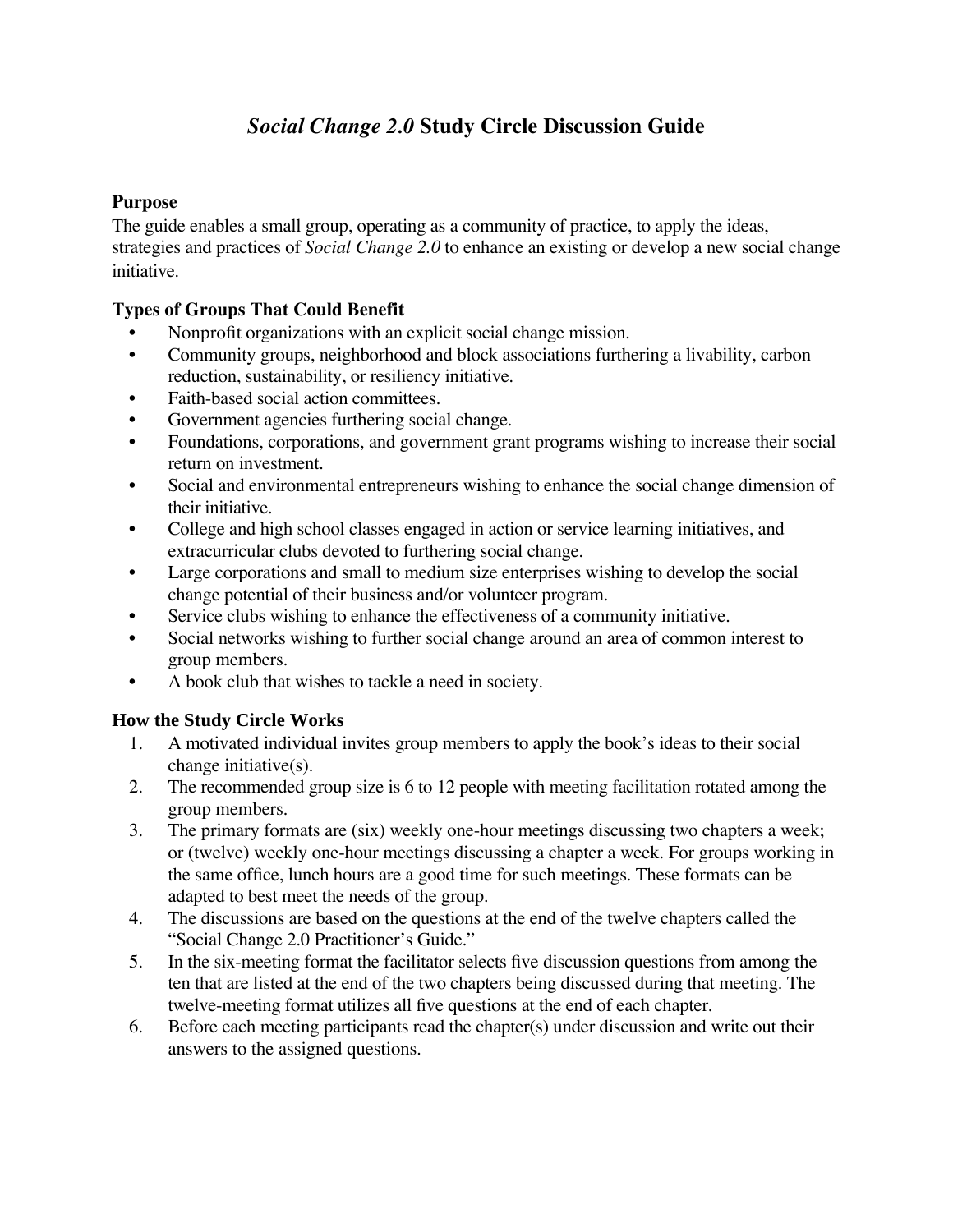# *Social Change 2.0* **Study Circle Discussion Guide**

#### **Purpose**

The guide enables a small group, operating as a community of practice, to apply the ideas, strategies and practices of *Social Change 2.0* to enhance an existing or develop a new social change initiative.

#### **Types of Groups That Could Benefit**

- Nonprofit organizations with an explicit social change mission.
- Community groups, neighborhood and block associations furthering a livability, carbon reduction, sustainability, or resiliency initiative.
- Faith-based social action committees.
- Government agencies furthering social change.
- Foundations, corporations, and government grant programs wishing to increase their social return on investment.
- Social and environmental entrepreneurs wishing to enhance the social change dimension of their initiative.
- College and high school classes engaged in action or service learning initiatives, and extracurricular clubs devoted to furthering social change.
- Large corporations and small to medium size enterprises wishing to develop the social change potential of their business and/or volunteer program.
- Service clubs wishing to enhance the effectiveness of a community initiative.
- Social networks wishing to further social change around an area of common interest to group members.
- A book club that wishes to tackle a need in society.

## **How the Study Circle Works**

- 1. A motivated individual invites group members to apply the book's ideas to their social change initiative(s).
- 2. The recommended group size is 6 to 12 people with meeting facilitation rotated among the group members.
- 3. The primary formats are (six) weekly one-hour meetings discussing two chapters a week; or (twelve) weekly one-hour meetings discussing a chapter a week. For groups working in the same office, lunch hours are a good time for such meetings. These formats can be adapted to best meet the needs of the group.
- 4. The discussions are based on the questions at the end of the twelve chapters called the "Social Change 2.0 Practitioner's Guide."
- 5. In the six-meeting format the facilitator selects five discussion questions from among the ten that are listed at the end of the two chapters being discussed during that meeting. The twelve-meeting format utilizes all five questions at the end of each chapter.
- 6. Before each meeting participants read the chapter(s) under discussion and write out their answers to the assigned questions.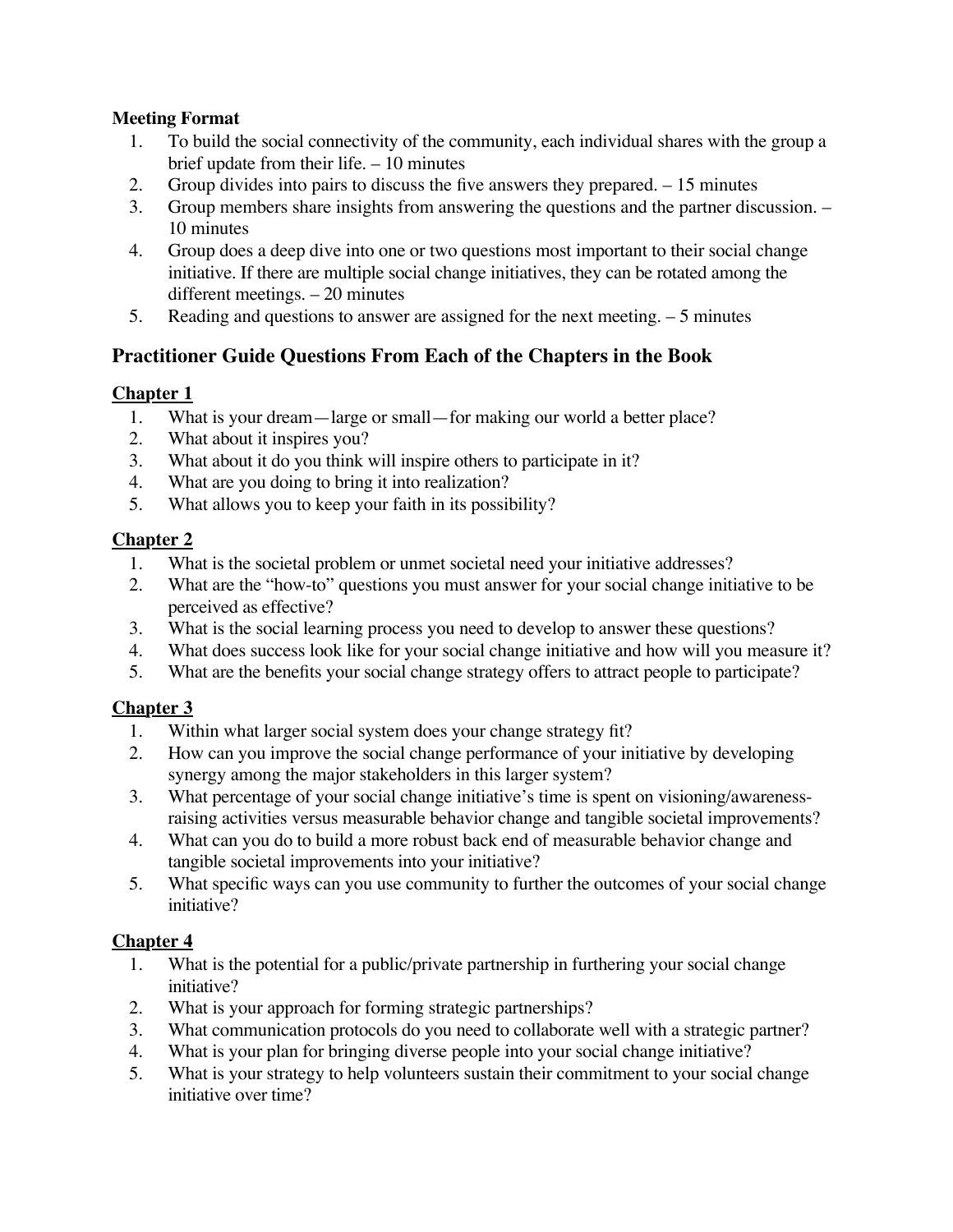#### **Meeting Format**

- 1. To build the social connectivity of the community, each individual shares with the group a brief update from their life. – 10 minutes
- 2. Group divides into pairs to discuss the five answers they prepared. 15 minutes
- 3. Group members share insights from answering the questions and the partner discussion. 10 minutes
- 4. Group does a deep dive into one or two questions most important to their social change initiative. If there are multiple social change initiatives, they can be rotated among the different meetings. – 20 minutes
- 5. Reading and questions to answer are assigned for the next meeting. 5 minutes

## **Practitioner Guide Questions From Each of the Chapters in the Book**

## **Chapter 1**

- 1. What is your dream—large or small—for making our world a better place?
- 2. What about it inspires you?
- 3. What about it do you think will inspire others to participate in it?
- 4. What are you doing to bring it into realization?
- 5. What allows you to keep your faith in its possibility?

## **Chapter 2**

- 1. What is the societal problem or unmet societal need your initiative addresses?
- 2. What are the "how-to" questions you must answer for your social change initiative to be perceived as effective?
- 3. What is the social learning process you need to develop to answer these questions?
- 4. What does success look like for your social change initiative and how will you measure it?
- 5. What are the benefits your social change strategy offers to attract people to participate?

## **Chapter 3**

- 1. Within what larger social system does your change strategy fit?
- 2. How can you improve the social change performance of your initiative by developing synergy among the major stakeholders in this larger system?
- 3. What percentage of your social change initiative's time is spent on visioning/awarenessraising activities versus measurable behavior change and tangible societal improvements?
- 4. What can you do to build a more robust back end of measurable behavior change and tangible societal improvements into your initiative?
- 5. What specific ways can you use community to further the outcomes of your social change initiative?

## **Chapter 4**

- 1. What is the potential for a public/private partnership in furthering your social change initiative?
- 2. What is your approach for forming strategic partnerships?
- 3. What communication protocols do you need to collaborate well with a strategic partner?
- 4. What is your plan for bringing diverse people into your social change initiative?
- 5. What is your strategy to help volunteers sustain their commitment to your social change initiative over time?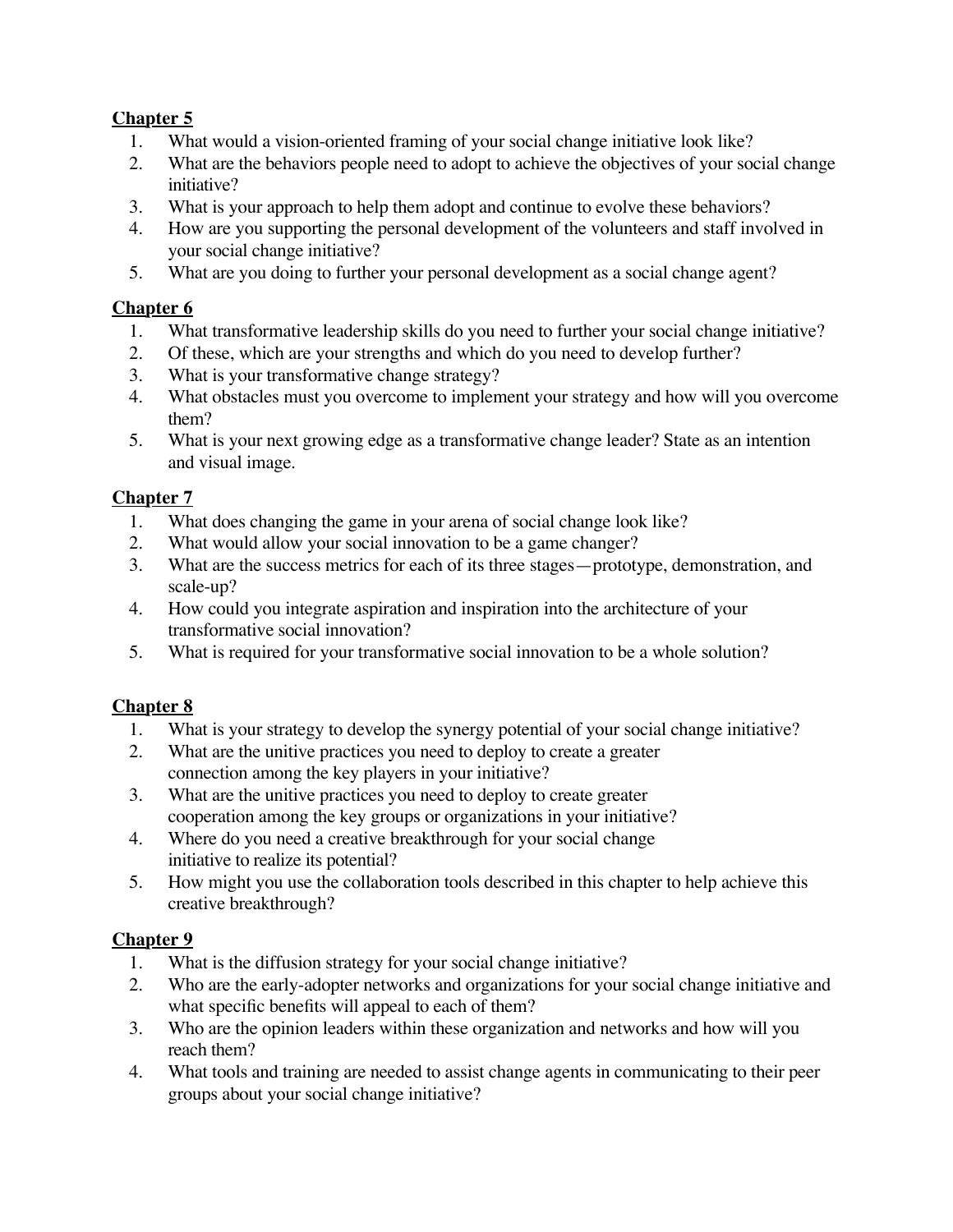## **Chapter 5**

- 1. What would a vision-oriented framing of your social change initiative look like?
- 2. What are the behaviors people need to adopt to achieve the objectives of your social change initiative?
- 3. What is your approach to help them adopt and continue to evolve these behaviors?
- 4. How are you supporting the personal development of the volunteers and staff involved in your social change initiative?
- 5. What are you doing to further your personal development as a social change agent?

## **Chapter 6**

- 1. What transformative leadership skills do you need to further your social change initiative?
- 2. Of these, which are your strengths and which do you need to develop further?
- 3. What is your transformative change strategy?
- 4. What obstacles must you overcome to implement your strategy and how will you overcome them?
- 5. What is your next growing edge as a transformative change leader? State as an intention and visual image.

## **Chapter 7**

- 1. What does changing the game in your arena of social change look like?
- 2. What would allow your social innovation to be a game changer?
- 3. What are the success metrics for each of its three stages—prototype, demonstration, and scale-up?
- 4. How could you integrate aspiration and inspiration into the architecture of your transformative social innovation?
- 5. What is required for your transformative social innovation to be a whole solution?

## **Chapter 8**

- 1. What is your strategy to develop the synergy potential of your social change initiative?
- 2. What are the unitive practices you need to deploy to create a greater connection among the key players in your initiative?
- 3. What are the unitive practices you need to deploy to create greater cooperation among the key groups or organizations in your initiative?
- 4. Where do you need a creative breakthrough for your social change initiative to realize its potential?
- 5. How might you use the collaboration tools described in this chapter to help achieve this creative breakthrough?

## **Chapter 9**

- 1. What is the diffusion strategy for your social change initiative?
- 2. Who are the early-adopter networks and organizations for your social change initiative and what specific benefits will appeal to each of them?
- 3. Who are the opinion leaders within these organization and networks and how will you reach them?
- 4. What tools and training are needed to assist change agents in communicating to their peer groups about your social change initiative?